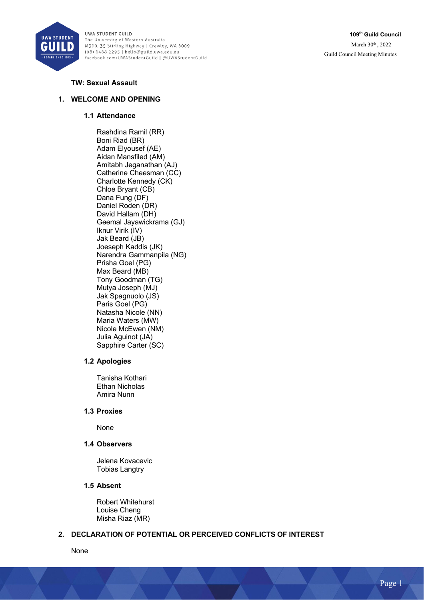

**109th Guild Council** March 30<sup>th</sup>, 2022 Guild Council Meeting Minutes

## **TW: Sexual Assault**

### **1. WELCOME AND OPENING**

### **1.1 Attendance**

Rashdina Ramil (RR) Boni Riad (BR) Adam Elyousef (AE) Aidan Mansfiled (AM) Amitabh Jeganathan (AJ) Catherine Cheesman (CC) Charlotte Kennedy (CK) Chloe Bryant (CB) Dana Fung (DF) Daniel Roden (DR) David Hallam (DH) Geemal Jayawickrama (GJ) Iknur Virik (IV) Jak Beard (JB) Joeseph Kaddis (JK) Narendra Gammanpila (NG) Prisha Goel (PG) Max Beard (MB) Tony Goodman (TG) Mutya Joseph (MJ) Jak Spagnuolo (JS) Paris Goel (PG) Natasha Nicole (NN) Maria Waters (MW) Nicole McEwen (NM) Julia Aguinot (JA) Sapphire Carter (SC)

### **1.2 Apologies**

Tanisha Kothari Ethan Nicholas Amira Nunn

### **1.3 Proxies**

None

### **1.4 Observers**

Jelena Kovacevic Tobias Langtry

#### **1.5 Absent**

Robert Whitehurst Louise Cheng Misha Riaz (MR)

### **2. DECLARATION OF POTENTIAL OR PERCEIVED CONFLICTS OF INTEREST**

None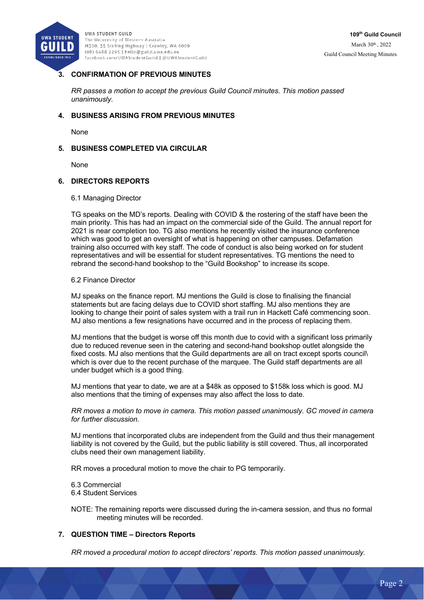

# **3. CONFIRMATION OF PREVIOUS MINUTES**

*RR passes a motion to accept the previous Guild Council minutes. This motion passed unanimously.*

### **4. BUSINESS ARISING FROM PREVIOUS MINUTES**

None

### **5. BUSINESS COMPLETED VIA CIRCULAR**

None

### **6. DIRECTORS REPORTS**

#### 6.1 Managing Director

TG speaks on the MD's reports. Dealing with COVID & the rostering of the staff have been the main priority. This has had an impact on the commercial side of the Guild. The annual report for 2021 is near completion too. TG also mentions he recently visited the insurance conference which was good to get an oversight of what is happening on other campuses. Defamation training also occurred with key staff. The code of conduct is also being worked on for student representatives and will be essential for student representatives. TG mentions the need to rebrand the second-hand bookshop to the "Guild Bookshop" to increase its scope.

### 6.2 Finance Director

MJ speaks on the finance report. MJ mentions the Guild is close to finalising the financial statements but are facing delays due to COVID short staffing. MJ also mentions they are looking to change their point of sales system with a trail run in Hackett Café commencing soon. MJ also mentions a few resignations have occurred and in the process of replacing them.

MJ mentions that the budget is worse off this month due to covid with a significant loss primarily due to reduced revenue seen in the catering and second-hand bookshop outlet alongside the fixed costs. MJ also mentions that the Guild departments are all on tract except sports council\ which is over due to the recent purchase of the marquee. The Guild staff departments are all under budget which is a good thing.

MJ mentions that year to date, we are at a \$48k as opposed to \$158k loss which is good. MJ also mentions that the timing of expenses may also affect the loss to date.

*RR moves a motion to move in camera. This motion passed unanimously. GC moved in camera for further discussion.* 

MJ mentions that incorporated clubs are independent from the Guild and thus their management liability is not covered by the Guild, but the public liability is still covered. Thus, all incorporated clubs need their own management liability.

RR moves a procedural motion to move the chair to PG temporarily.

6.3 Commercial 6.4 Student Services

NOTE: The remaining reports were discussed during the in-camera session, and thus no formal meeting minutes will be recorded.

### **7. QUESTION TIME – Directors Reports**

*RR moved a procedural motion to accept directors' reports. This motion passed unanimously.*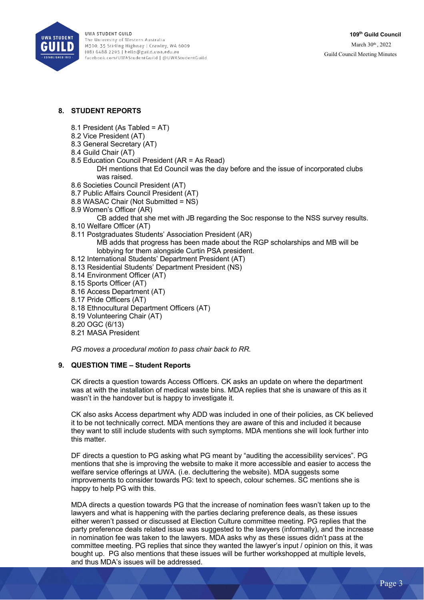

# **8. STUDENT REPORTS**

- 8.1 President (As Tabled = AT)
- 8.2 Vice President (AT)
- 8.3 General Secretary (AT)
- 8.4 Guild Chair (AT)
- 8.5 Education Council President (AR = As Read) DH mentions that Ed Council was the day before and the issue of incorporated clubs was raised.
- 8.6 Societies Council President (AT)
- 8.7 Public Affairs Council President (AT)
- 8.8 WASAC Chair (Not Submitted = NS)
- 8.9 Women's Officer (AR)

CB added that she met with JB regarding the Soc response to the NSS survey results.

- 8.10 Welfare Officer (AT)
- 8.11 Postgraduates Students' Association President (AR)

MB adds that progress has been made about the RGP scholarships and MB will be lobbying for them alongside Curtin PSA president.

- 8.12 International Students' Department President (AT)
- 8.13 Residential Students' Department President (NS)
- 8.14 Environment Officer (AT)
- 8.15 Sports Officer (AT)
- 8.16 Access Department (AT)
- 8.17 Pride Officers (AT)
- 8.18 Ethnocultural Department Officers (AT)
- 8.19 Volunteering Chair (AT)
- 8.20 OGC (6/13)
- 8.21 MASA President

*PG moves a procedural motion to pass chair back to RR.* 

## **9. QUESTION TIME – Student Reports**

CK directs a question towards Access Officers. CK asks an update on where the department was at with the installation of medical waste bins. MDA replies that she is unaware of this as it wasn't in the handover but is happy to investigate it.

CK also asks Access department why ADD was included in one of their policies, as CK believed it to be not technically correct. MDA mentions they are aware of this and included it because they want to still include students with such symptoms. MDA mentions she will look further into this matter.

DF directs a question to PG asking what PG meant by "auditing the accessibility services". PG mentions that she is improving the website to make it more accessible and easier to access the welfare service offerings at UWA. (i.e. decluttering the website). MDA suggests some improvements to consider towards PG: text to speech, colour schemes. SC mentions she is happy to help PG with this.

MDA directs a question towards PG that the increase of nomination fees wasn't taken up to the lawyers and what is happening with the parties declaring preference deals, as these issues either weren't passed or discussed at Election Culture committee meeting. PG replies that the party preference deals related issue was suggested to the lawyers (informally), and the increase in nomination fee was taken to the lawyers. MDA asks why as these issues didn't pass at the committee meeting. PG replies that since they wanted the lawyer's input / opinion on this, it was bought up. PG also mentions that these issues will be further workshopped at multiple levels, and thus MDA's issues will be addressed.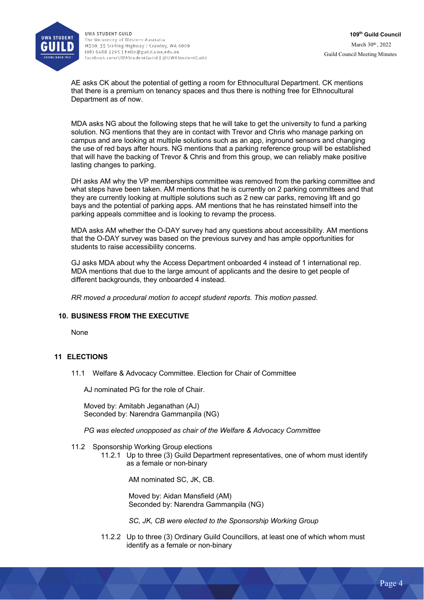

AE asks CK about the potential of getting a room for Ethnocultural Department. CK mentions that there is a premium on tenancy spaces and thus there is nothing free for Ethnocultural Department as of now.

MDA asks NG about the following steps that he will take to get the university to fund a parking solution. NG mentions that they are in contact with Trevor and Chris who manage parking on campus and are looking at multiple solutions such as an app, inground sensors and changing the use of red bays after hours. NG mentions that a parking reference group will be established that will have the backing of Trevor & Chris and from this group, we can reliably make positive lasting changes to parking.

DH asks AM why the VP memberships committee was removed from the parking committee and what steps have been taken. AM mentions that he is currently on 2 parking committees and that they are currently looking at multiple solutions such as 2 new car parks, removing lift and go bays and the potential of parking apps. AM mentions that he has reinstated himself into the parking appeals committee and is looking to revamp the process.

MDA asks AM whether the O-DAY survey had any questions about accessibility. AM mentions that the O-DAY survey was based on the previous survey and has ample opportunities for students to raise accessibility concerns.

GJ asks MDA about why the Access Department onboarded 4 instead of 1 international rep. MDA mentions that due to the large amount of applicants and the desire to get people of different backgrounds, they onboarded 4 instead.

*RR moved a procedural motion to accept student reports. This motion passed.* 

### **10. BUSINESS FROM THE EXECUTIVE**

None

### **11 ELECTIONS**

11.1 Welfare & Advocacy Committee. Election for Chair of Committee

AJ nominated PG for the role of Chair.

Moved by: Amitabh Jeganathan (AJ) Seconded by: Narendra Gammanpila (NG)

*PG was elected unopposed as chair of the Welfare & Advocacy Committee*

### 11.2 Sponsorship Working Group elections

11.2.1 Up to three (3) Guild Department representatives, one of whom must identify as a female or non-binary

AM nominated SC, JK, CB.

Moved by: Aidan Mansfield (AM) Seconded by: Narendra Gammanpila (NG)

*SC, JK, CB were elected to the Sponsorship Working Group* 

11.2.2 Up to three (3) Ordinary Guild Councillors, at least one of which whom must identify as a female or non-binary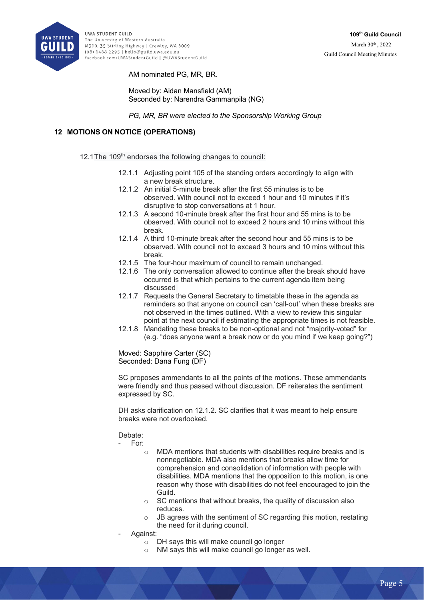

AM nominated PG, MR, BR.

Moved by: Aidan Mansfield (AM) Seconded by: Narendra Gammanpila (NG)

*PG, MR, BR were elected to the Sponsorship Working Group* 

# **12 MOTIONS ON NOTICE (OPERATIONS)**

12.1The 109<sup>th</sup> endorses the following changes to council:

- 12.1.1 Adjusting point 105 of the standing orders accordingly to align with a new break structure.
- 12.1.2 An initial 5-minute break after the first 55 minutes is to be observed. With council not to exceed 1 hour and 10 minutes if it's disruptive to stop conversations at 1 hour.
- 12.1.3 A second 10-minute break after the first hour and 55 mins is to be observed. With council not to exceed 2 hours and 10 mins without this break.
- 12.1.4 A third 10-minute break after the second hour and 55 mins is to be observed. With council not to exceed 3 hours and 10 mins without this break.
- 12.1.5 The four-hour maximum of council to remain unchanged.
- 12.1.6 The only conversation allowed to continue after the break should have occurred is that which pertains to the current agenda item being discussed
- 12.1.7 Requests the General Secretary to timetable these in the agenda as reminders so that anyone on council can 'call-out' when these breaks are not observed in the times outlined. With a view to review this singular point at the next council if estimating the appropriate times is not feasible.
- 12.1.8 Mandating these breaks to be non-optional and not "majority-voted" for (e.g. "does anyone want a break now or do you mind if we keep going?")

Moved: Sapphire Carter (SC) Seconded: Dana Fung (DF)

SC proposes ammendants to all the points of the motions. These ammendants were friendly and thus passed without discussion. DF reiterates the sentiment expressed by SC.

DH asks clarification on 12.1.2. SC clarifies that it was meant to help ensure breaks were not overlooked.

## Debate:

- For:

- MDA mentions that students with disabilities require breaks and is nonnegotiable. MDA also mentions that breaks allow time for comprehension and consolidation of information with people with disabilities. MDA mentions that the opposition to this motion, is one reason why those with disabilities do not feel encouraged to join the Guild.
- o SC mentions that without breaks, the quality of discussion also reduces.
- o JB agrees with the sentiment of SC regarding this motion, restating the need for it during council.
- Against:
	- o DH says this will make council go longer
	- o NM says this will make council go longer as well.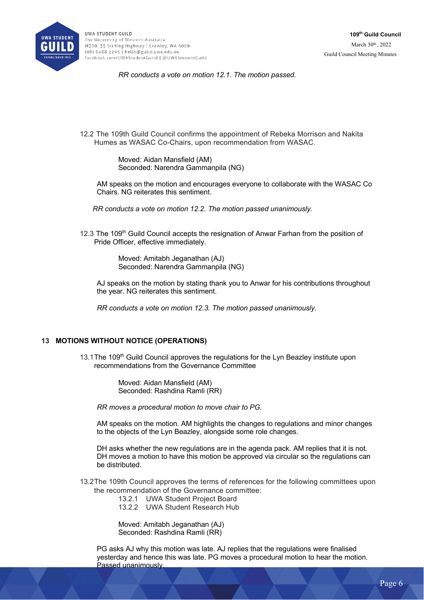

*RR conducts a vote on motion 12.1. The motion passed.* 

12.2 The 109th Guild Council confirms the appointment of Rebeka Morrison and Nakita Humes as WASAC Co-Chairs, upon recommendation from WASAC.

> Moved: Aidan Mansfield (AM) Seconded: Narendra Gammanpila (NG)

AM speaks on the motion and encourages everyone to collaborate with the WASAC Co Chairs. NG reiterates this sentiment.

*RR conducts a vote on motion 12.2. The motion passed unanimously.* 

12.3 The 109<sup>th</sup> Guild Council accepts the resignation of Anwar Farhan from the position of Pride Officer, effective immediately.

> Moved: Amitabh Jeganathan (AJ) Seconded: Narendra Gammanpila (NG)

AJ speaks on the motion by stating thank you to Anwar for his contributions throughout the year. NG reiterates this sentiment.

*RR conducts a vote on motion 12.3. The motion passed unanimously.* 

## **13 MOTIONS WITHOUT NOTICE (OPERATIONS)**

13.1 The 109<sup>th</sup> Guild Council approves the regulations for the Lyn Beazley institute upon recommendations from the Governance Committee

> Moved: Aidan Mansfield (AM) Seconded: Rashdina Ramli (RR)

*RR moves a procedural motion to move chair to PG.* 

AM speaks on the motion. AM highlights the changes to regulations and minor changes to the objects of the Lyn Beazley, alongside some role changes.

DH asks whether the new regulations are in the agenda pack. AM replies that it is not. DH moves a motion to have this motion be approved via circular so the regulations can be distributed.

13.2The 109th Council approves the terms of references for the following committees upon the recommendation of the Governance committee:

13.2.1 UWA Student Project Board

13.2.2 UWA Student Research Hub

Moved: Amitabh Jeganathan (AJ) Seconded: Rashdina Ramli (RR)

PG asks AJ why this motion was late. AJ replies that the regulations were finalised yesterday and hence this was late. PG moves a procedural motion to hear the motion. Passed unanimously.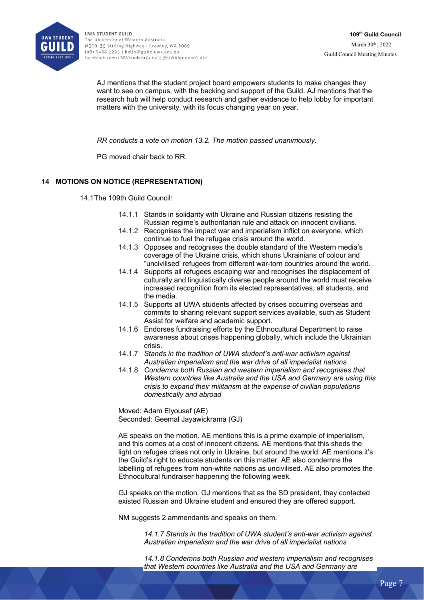

AJ mentions that the student project board empowers students to make changes they want to see on campus, with the backing and support of the Guild. AJ mentions that the research hub will help conduct research and gather evidence to help lobby for important matters with the university, with its focus changing year on year.

*RR conducts a vote on motion 13.2. The motion passed unanimously.* 

PG moved chair back to RR.

## **14 MOTIONS ON NOTICE (REPRESENTATION)**

14.1The 109th Guild Council:

- 14.1.1 Stands in solidarity with Ukraine and Russian citizens resisting the Russian regime's authoritarian rule and attack on innocent civilians.
- 14.1.2 Recognises the impact war and imperialism inflict on everyone, which continue to fuel the refugee crisis around the world.
- 14.1.3 Opposes and recognises the double standard of the Western media's coverage of the Ukraine crisis, which shuns Ukrainians of colour and "uncivilised' refugees from different war-torn countries around the world.
- 14.1.4 Supports all refugees escaping war and recognises the displacement of culturally and linguistically diverse people around the world must receive increased recognition from its elected representatives, all students, and the media.
- 14.1.5 Supports all UWA students affected by crises occurring overseas and commits to sharing relevant support services available, such as Student Assist for welfare and academic support.
- 14.1.6 Endorses fundraising efforts by the Ethnocultural Department to raise awareness about crises happening globally, which include the Ukrainian crisis.
- 14.1.7 *Stands in the tradition of UWA student's anti-war activism against Australian imperialism and the war drive of all imperialist nations*
- 14.1.8 *Condemns both Russian and western imperialism and recognises that Western countries like Australia and the USA and Germany are using this crisis to expand their militarism at the expense of civilian populations domestically and abroad*

Moved: Adam Elyousef (AE) Seconded: Geemal Jayawickrama (GJ)

AE speaks on the motion. AE mentions this is a prime example of imperialism, and this comes at a cost of innocent citizens. AE mentions that this sheds the light on refugee crises not only in Ukraine, but around the world. AE mentions it's the Guild's right to educate students on this matter. AE also condemns the labelling of refugees from non-white nations as uncivilised. AE also promotes the Ethnocultural fundraiser happening the following week.

GJ speaks on the motion. GJ mentions that as the SD president, they contacted existed Russian and Ukraine student and ensured they are offered support.

NM suggests 2 ammendants and speaks on them.

*14.1.7 Stands in the tradition of UWA student's anti-war activism against Australian imperialism and the war drive of all imperialist nations*

*14.1.8 Condemns both Russian and western imperialism and recognises that Western countries like Australia and the USA and Germany are*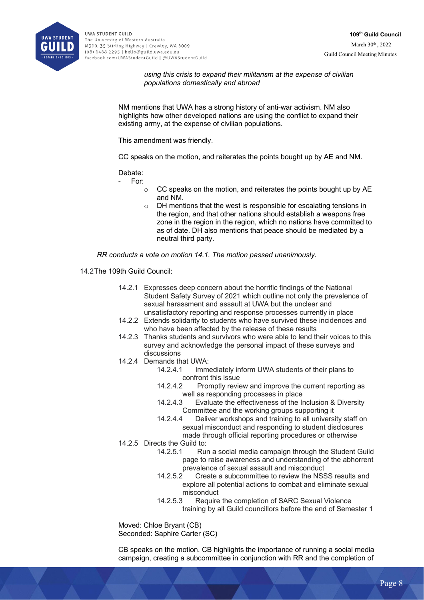

*using this crisis to expand their militarism at the expense of civilian populations domestically and abroad*

NM mentions that UWA has a strong history of anti-war activism. NM also highlights how other developed nations are using the conflict to expand their existing army, at the expense of civilian populations.

This amendment was friendly.

CC speaks on the motion, and reiterates the points bought up by AE and NM.

Debate:

- For:
	- $\circ$  CC speaks on the motion, and reiterates the points bought up by AE and NM.
	- o DH mentions that the west is responsible for escalating tensions in the region, and that other nations should establish a weapons free zone in the region in the region, which no nations have committed to as of date. DH also mentions that peace should be mediated by a neutral third party.

*RR conducts a vote on motion 14.1. The motion passed unanimously.* 

- 14.2The 109th Guild Council:
	- 14.2.1 Expresses deep concern about the horrific findings of the National Student Safety Survey of 2021 which outline not only the prevalence of sexual harassment and assault at UWA but the unclear and unsatisfactory reporting and response processes currently in place
	- 14.2.2 Extends solidarity to students who have survived these incidences and who have been affected by the release of these results
	- 14.2.3 Thanks students and survivors who were able to lend their voices to this survey and acknowledge the personal impact of these surveys and discussions
	- 14.2.4 Demands that UWA:
		- 14.2.4.1 Immediately inform UWA students of their plans to confront this issue
		- 14.2.4.2 Promptly review and improve the current reporting as well as responding processes in place
		- 14.2.4.3 Evaluate the effectiveness of the Inclusion & Diversity Committee and the working groups supporting it
		- 14.2.4.4 Deliver workshops and training to all university staff on sexual misconduct and responding to student disclosures made through official reporting procedures or otherwise
	- 14.2.5 Directs the Guild to:
		- 14.2.5.1 Run a social media campaign through the Student Guild page to raise awareness and understanding of the abhorrent prevalence of sexual assault and misconduct
		- 14.2.5.2 Create a subcommittee to review the NSSS results and explore all potential actions to combat and eliminate sexual misconduct
		- 14.2.5.3 Require the completion of SARC Sexual Violence training by all Guild councillors before the end of Semester 1

Moved: Chloe Bryant (CB) Seconded: Saphire Carter (SC)

CB speaks on the motion. CB highlights the importance of running a social media campaign, creating a subcommittee in conjunction with RR and the completion of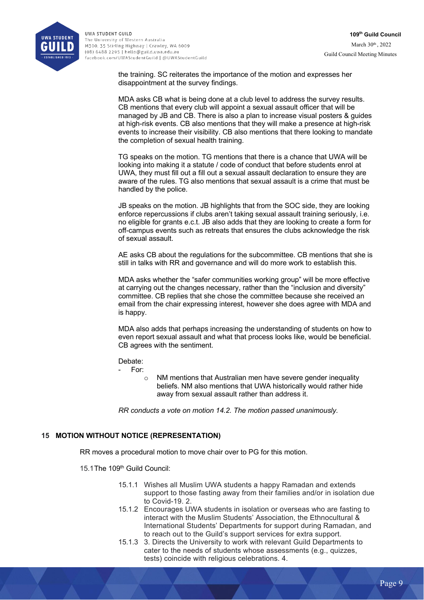

the training. SC reiterates the importance of the motion and expresses her disappointment at the survey findings.

MDA asks CB what is being done at a club level to address the survey results. CB mentions that every club will appoint a sexual assault officer that will be managed by JB and CB. There is also a plan to increase visual posters & guides at high-risk events. CB also mentions that they will make a presence at high-risk events to increase their visibility. CB also mentions that there looking to mandate the completion of sexual health training.

TG speaks on the motion. TG mentions that there is a chance that UWA will be looking into making it a statute / code of conduct that before students enrol at UWA, they must fill out a fill out a sexual assault declaration to ensure they are aware of the rules. TG also mentions that sexual assault is a crime that must be handled by the police.

JB speaks on the motion. JB highlights that from the SOC side, they are looking enforce repercussions if clubs aren't taking sexual assault training seriously, i.e. no eligible for grants e.c.t. JB also adds that they are looking to create a form for off-campus events such as retreats that ensures the clubs acknowledge the risk of sexual assault.

AE asks CB about the regulations for the subcommittee. CB mentions that she is still in talks with RR and governance and will do more work to establish this.

MDA asks whether the "safer communities working group" will be more effective at carrying out the changes necessary, rather than the "inclusion and diversity" committee. CB replies that she chose the committee because she received an email from the chair expressing interest, however she does agree with MDA and is happy.

MDA also adds that perhaps increasing the understanding of students on how to even report sexual assault and what that process looks like, would be beneficial. CB agrees with the sentiment.

### Debate:

#### - For:

o NM mentions that Australian men have severe gender inequality beliefs. NM also mentions that UWA historically would rather hide away from sexual assault rather than address it.

*RR conducts a vote on motion 14.2. The motion passed unanimously.* 

## **15 MOTION WITHOUT NOTICE (REPRESENTATION)**

RR moves a procedural motion to move chair over to PG for this motion.

15.1The 109<sup>th</sup> Guild Council:

- 15.1.1 Wishes all Muslim UWA students a happy Ramadan and extends support to those fasting away from their families and/or in isolation due to Covid-19. 2.
- 15.1.2 Encourages UWA students in isolation or overseas who are fasting to interact with the Muslim Students' Association, the Ethnocultural & International Students' Departments for support during Ramadan, and to reach out to the Guild's support services for extra support.
- 15.1.3 3. Directs the University to work with relevant Guild Departments to cater to the needs of students whose assessments (e.g., quizzes, tests) coincide with religious celebrations. 4.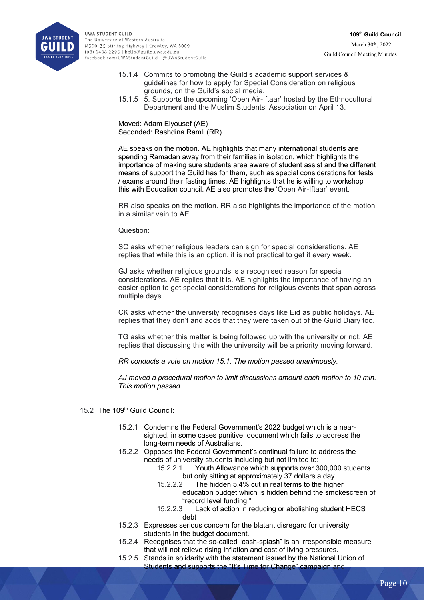

- 15.1.4 Commits to promoting the Guild's academic support services & guidelines for how to apply for Special Consideration on religious grounds, on the Guild's social media.
- 15.1.5 5. Supports the upcoming 'Open Air-Iftaar' hosted by the Ethnocultural Department and the Muslim Students' Association on April 13.

Moved: Adam Elyousef (AE) Seconded: Rashdina Ramli (RR)

AE speaks on the motion. AE highlights that many international students are spending Ramadan away from their families in isolation, which highlights the importance of making sure students area aware of student assist and the different means of support the Guild has for them, such as special considerations for tests / exams around their fasting times. AE highlights that he is willing to workshop this with Education council. AE also promotes the 'Open Air-Iftaar' event.

RR also speaks on the motion. RR also highlights the importance of the motion in a similar vein to AE.

### Question:

SC asks whether religious leaders can sign for special considerations. AE replies that while this is an option, it is not practical to get it every week.

GJ asks whether religious grounds is a recognised reason for special considerations. AE replies that it is. AE highlights the importance of having an easier option to get special considerations for religious events that span across multiple days.

CK asks whether the university recognises days like Eid as public holidays. AE replies that they don't and adds that they were taken out of the Guild Diary too.

TG asks whether this matter is being followed up with the university or not. AE replies that discussing this with the university will be a priority moving forward.

*RR conducts a vote on motion 15.1. The motion passed unanimously.* 

*AJ moved a procedural motion to limit discussions amount each motion to 10 min. This motion passed.* 

- 15.2 The 109th Guild Council:
	- 15.2.1 Condemns the Federal Government's 2022 budget which is a nearsighted, in some cases punitive, document which fails to address the long-term needs of Australians.
	- 15.2.2 Opposes the Federal Government's continual failure to address the needs of university students including but not limited to:
		- 15.2.2.1 Youth Allowance which supports over 300,000 students but only sitting at approximately 37 dollars a day.
		- 15.2.2.2 The hidden 5.4% cut in real terms to the higher education budget which is hidden behind the smokescreen of
		- "record level funding."<br>15.2.2.3 Lack of action in re
		- Lack of action in reducing or abolishing student HECS debt
	- 15.2.3 Expresses serious concern for the blatant disregard for university students in the budget document.
	- 15.2.4 Recognises that the so-called "cash-splash" is an irresponsible measure that will not relieve rising inflation and cost of living pressures.
	- 15.2.5 Stands in solidarity with the statement issued by the National Union of Students and supports the "It's Time for Change" campaign and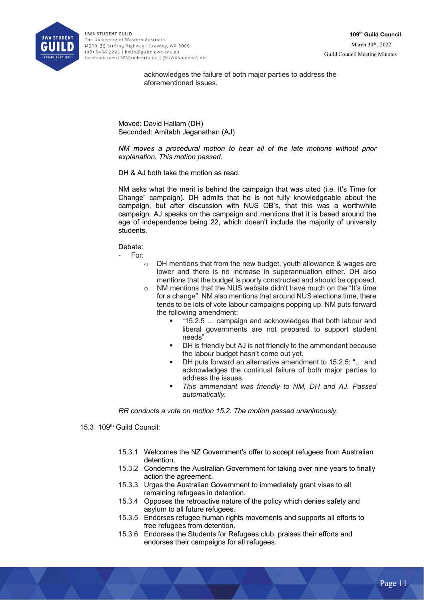

acknowledges the failure of both major parties to address the aforementioned issues.

Moved: David Hallam (DH) Seconded: Amitabh Jeganathan (AJ)

*NM moves a procedural motion to hear all of the late motions without prior explanation. This motion passed.*

DH & AJ both take the motion as read.

NM asks what the merit is behind the campaign that was cited (i.e. It's Time for Change" campaign). DH admits that he is not fully knowledgeable about the campaign, but after discussion with NUS OB's, that this was a worthwhile campaign. AJ speaks on the campaign and mentions that it is based around the age of independence being 22, which doesn't include the majority of university students.

Debate:

- For:

- o DH mentions that from the new budget, youth allowance & wages are lower and there is no increase in superannuation either. DH also mentions that the budget is poorly constructed and should be opposed.
- o NM mentions that the NUS website didn't have much on the "It's time for a change". NM also mentions that around NUS elections time, there tends to be lots of vote labour campaigns popping up. NM puts forward the following amendment:
	- § "15.2.5 … campaign and acknowledges that both labour and liberal governments are not prepared to support student needs"
	- DH is friendly but AJ is not friendly to the ammendant because the labour budget hasn't come out yet.
	- § DH puts forward an alternative amendment to 15.2.5: "… and acknowledges the continual failure of both major parties to address the issues.
	- § *This ammendant was friendly to NM, DH and AJ. Passed automatically.*

*RR conducts a vote on motion 15.2. The motion passed unanimously.* 

- 15.3 109th Guild Council:
	- 15.3.1 Welcomes the NZ Government's offer to accept refugees from Australian detention.
	- 15.3.2 Condemns the Australian Government for taking over nine years to finally action the agreement.
	- 15.3.3 Urges the Australian Government to immediately grant visas to all remaining refugees in detention.
	- 15.3.4 Opposes the retroactive nature of the policy which denies safety and asylum to all future refugees.
	- 15.3.5 Endorses refugee human rights movements and supports all efforts to free refugees from detention.
	- 15.3.6 Endorses the Students for Refugees club, praises their efforts and endorses their campaigns for all refugees.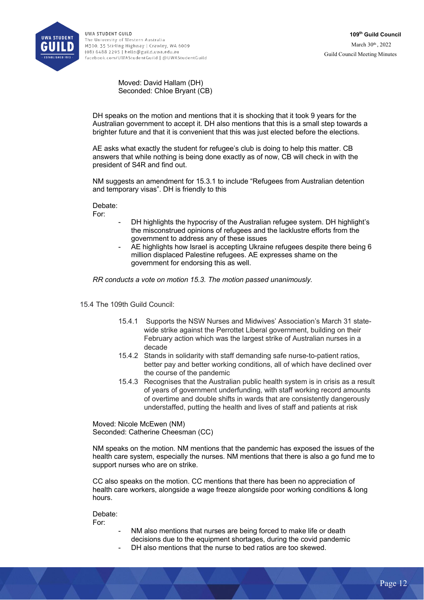

Moved: David Hallam (DH) Seconded: Chloe Bryant (CB)

DH speaks on the motion and mentions that it is shocking that it took 9 years for the Australian government to accept it. DH also mentions that this is a small step towards a brighter future and that it is convenient that this was just elected before the elections.

AE asks what exactly the student for refugee's club is doing to help this matter. CB answers that while nothing is being done exactly as of now, CB will check in with the president of S4R and find out.

NM suggests an amendment for 15.3.1 to include "Refugees from Australian detention and temporary visas". DH is friendly to this

Debate:

For:

- DH highlights the hypocrisy of the Australian refugee system. DH highlight's the misconstrued opinions of refugees and the lacklustre efforts from the government to address any of these issues
- AE highlights how Israel is accepting Ukraine refugees despite there being 6 million displaced Palestine refugees. AE expresses shame on the government for endorsing this as well.

*RR conducts a vote on motion 15.3. The motion passed unanimously.* 

15.4 The 109th Guild Council:

- 15.4.1 Supports the NSW Nurses and Midwives' Association's March 31 statewide strike against the Perrottet Liberal government, building on their February action which was the largest strike of Australian nurses in a decade
- 15.4.2 Stands in solidarity with staff demanding safe nurse-to-patient ratios, better pay and better working conditions, all of which have declined over the course of the pandemic
- 15.4.3 Recognises that the Australian public health system is in crisis as a result of years of government underfunding, with staff working record amounts of overtime and double shifts in wards that are consistently dangerously understaffed, putting the health and lives of staff and patients at risk

Moved: Nicole McEwen (NM) Seconded: Catherine Cheesman (CC)

NM speaks on the motion. NM mentions that the pandemic has exposed the issues of the health care system, especially the nurses. NM mentions that there is also a go fund me to support nurses who are on strike.

CC also speaks on the motion. CC mentions that there has been no appreciation of health care workers, alongside a wage freeze alongside poor working conditions & long hours.

Debate: For:

- NM also mentions that nurses are being forced to make life or death decisions due to the equipment shortages, during the covid pandemic
- DH also mentions that the nurse to bed ratios are too skewed.